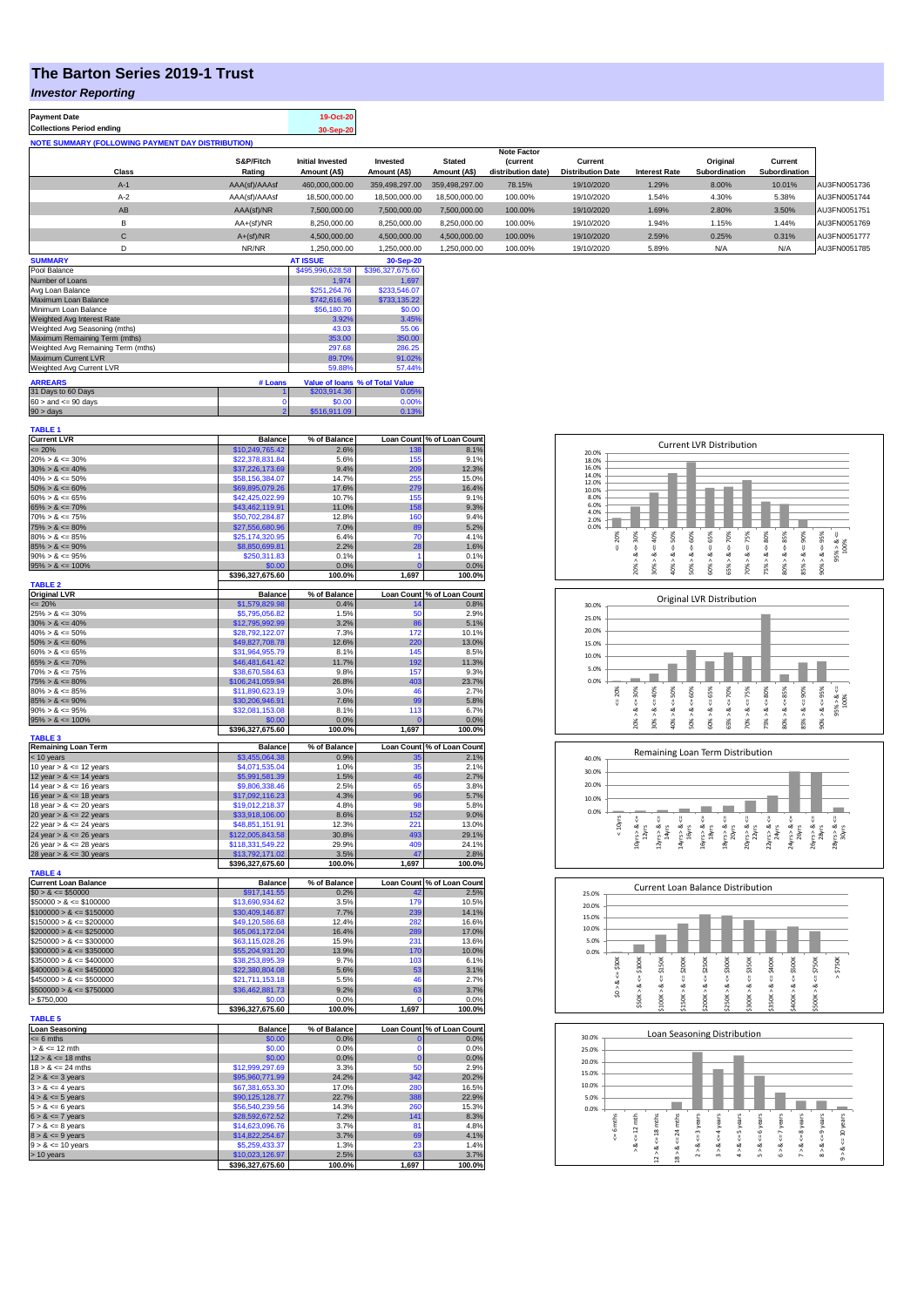## **The Barton Series 2019-1 Trust**

## *Investor Reporting*

| <b>Payment Date</b>                                      |                     | 19-Oct-20                               |                          |                               |                                      |                                     |                      |                           |                          |              |
|----------------------------------------------------------|---------------------|-----------------------------------------|--------------------------|-------------------------------|--------------------------------------|-------------------------------------|----------------------|---------------------------|--------------------------|--------------|
| <b>Collections Period ending</b>                         |                     | 30-Sep-20                               |                          |                               |                                      |                                     |                      |                           |                          |              |
| <b>NOTE SUMMARY (FOLLOWING PAYMENT DAY DISTRIBUTION)</b> |                     |                                         |                          |                               |                                      |                                     |                      |                           |                          |              |
|                                                          |                     |                                         |                          |                               | <b>Note Factor</b>                   |                                     |                      |                           |                          |              |
| Class                                                    | S&P/Fitch<br>Rating | <b>Initial Invested</b><br>Amount (A\$) | Invested<br>Amount (A\$) | <b>Stated</b><br>Amount (A\$) | <b>Current</b><br>distribution date) | Current<br><b>Distribution Date</b> | <b>Interest Rate</b> | Original<br>Subordination | Current<br>Subordination |              |
| $A-1$                                                    | AAA(sf)/AAAsf       | 460.000.000.00                          | 359.498.297.00           | 359.498.297.00                | 78.15%                               | 19/10/2020                          | 1.29%                | 8.00%                     | 10.01%                   | AU3FN0051736 |
| $A-2$                                                    | AAA(sf)/AAAsf       | 18,500,000,00                           | 18,500,000,00            | 18.500.000.00                 | 100.00%                              | 19/10/2020                          | 1.54%                | 4.30%                     | 5.38%                    | AU3FN0051744 |
| AB                                                       | AAA(sf)/NR          | 7.500.000.00                            | 7.500.000.00             | 7.500.000.00                  | 100.00%                              | 19/10/2020                          | 1.69%                | 2.80%                     | 3.50%                    | AU3FN0051751 |
| B                                                        | $AA+(sf)/NR$        | 8,250,000.00                            | 8,250,000.00             | 8.250.000.00                  | 100.00%                              | 19/10/2020                          | 1.94%                | 1.15%                     | 1.44%                    | AU3FN0051769 |
| С                                                        | $A+(sf)/NR$         | 4.500.000.00                            | 4.500.000.00             | 4.500.000.00                  | 100.00%                              | 19/10/2020                          | 2.59%                | 0.25%                     | 0.31%                    | AU3FN0051777 |
| D                                                        | NR/NR               | 1.250.000.00                            | 1,250,000.00             | 1,250,000.00                  | 100.00%                              | 19/10/2020                          | 5.89%                | N/A                       | N/A                      | AU3FN0051785 |
| <b>SUMMARY</b>                                           |                     | <b>AT ISSUE</b>                         | 30-Sep-20                |                               |                                      |                                     |                      |                           |                          |              |

|                | \$495,996,628.58 | \$396,327,675.60                                |
|----------------|------------------|-------------------------------------------------|
|                | 1.974            | 1.697                                           |
|                | \$251.264.76     | \$233,546.07                                    |
|                | \$742,616.96     | \$733.135.22                                    |
|                | \$56,180.70      | \$0.00                                          |
|                | 3.92%            | 3.45%                                           |
|                | 43.03            | 55.06                                           |
|                | 353.00           | 350.00                                          |
|                | 297.68           | 286.25                                          |
|                | 89.70%           | 91.02%                                          |
|                | 59.88%           | 57.44%                                          |
|                |                  |                                                 |
|                |                  |                                                 |
|                |                  | 0.05%                                           |
| 0              | \$0.00           | 0.00%                                           |
| $\overline{2}$ | \$516,911.09     | 0.13%                                           |
|                | # Loans          | Value of Ioans % of Total Value<br>\$203.914.36 |

| TABLE 1                                      |                                     |                      |                    |                                    |
|----------------------------------------------|-------------------------------------|----------------------|--------------------|------------------------------------|
| <b>Current LVR</b>                           | <b>Balance</b>                      | % of Balance         |                    | Loan Count % of Loan Count         |
| $= 20%$                                      | \$10,249,765.42                     | 2.6%                 | 138                | 8.1%                               |
| $20\% > 8 \le 30\%$                          | \$22,378,831.84                     | 5.6%                 | 155                | 9.1%                               |
| $30\% > 8 \le 40\%$                          | \$37,226,173.69                     | 9.4%                 | 209                | 12.3%                              |
| $40\% > 8 \le 50\%$                          | \$58,156,384.07                     | 14.7%                | 255                | 15.0%                              |
| $50\% > 8 \le 60\%$                          |                                     | 17.6%                | 279                | 16.4%                              |
|                                              | \$69,895,079.26                     |                      |                    |                                    |
| $60\% > 8 \le 65\%$                          | \$42,425,022.99                     | 10.7%                | 155                | 9.1%                               |
| $65\% > 8 \le 70\%$                          | \$43,462,119.91                     | 11.0%                | 158                | 9.3%                               |
| $70\% > 8 \le 75\%$                          | \$50,702,284.87                     | 12.8%                | 160                | 9.4%                               |
| $75\% > 8 \le 80\%$                          | \$27,556,680.96                     | 7.0%                 | 89                 | 5.2%                               |
| $80\% > 8 \le 85\%$                          | \$25,174,320.95                     | 6.4%                 | 70                 | 4.1%                               |
| $85\% > 8 \le 90\%$                          | \$8,850,699.81                      | 2.2%                 | 28                 | 1.6%                               |
| $90\% > 8 \le 95\%$                          | \$250,311.83                        | 0.1%                 | 1                  | 0.1%                               |
| $95\% > 8 \le 100\%$                         | \$0.00                              | 0.0%                 | $\overline{0}$     | 0.0%                               |
|                                              | \$396,327,675.60                    | 100.0%               | 1,697              | 100.0%                             |
| <b>TABLE 2</b>                               |                                     |                      |                    |                                    |
|                                              |                                     |                      |                    |                                    |
| <b>Original LVR</b><br>$\leq$ 20%            | <b>Balance</b><br>\$1,579,829.98    | % of Balance<br>0.4% | 14                 | Loan Count % of Loan Count<br>0.8% |
|                                              |                                     |                      |                    |                                    |
| $25\% > 8 \le 30\%$                          | \$5,795,056.82                      | 1.5%                 | 50                 | 2.9%                               |
| $30\% > 8 \le 40\%$                          | \$12,795,992.99                     | 3.2%                 | 86                 | 5.1%                               |
| $40\% > 8 \le 50\%$                          | \$28,792,122,07                     | 7.3%                 | 172                | 10.1%                              |
| $50\% > 8 \le 60\%$                          | \$49,827,708.78                     | 12.6%                | 220                | 13.0%                              |
| $60\% > 8 \le 65\%$                          | \$31,964,955.79                     | 8.1%                 | 145                | 8.5%                               |
| $65\% > 8 \le 70\%$                          | \$46,481,641.42                     | 11.7%                | 192                | 11.3%                              |
| $70\% > 8 \le 75\%$                          | \$38,670,584.63                     | 9.8%                 | 157                | 9.3%                               |
| $75\% > 8 \le 80\%$                          | \$106,241,059.94                    | 26.8%                | 403                | 23.7%                              |
| $80\% > 8 \le 85\%$                          | \$11,890,623.19                     | 3.0%                 | 46                 | 2.7%                               |
|                                              |                                     |                      |                    |                                    |
| $85\% > 8 \le 90\%$                          | \$30,206,946.91                     | 7.6%                 | 99                 | 5.8%                               |
| $90\% > 8 \le 95\%$                          | \$32,081,153.08                     | 8.1%                 | 113                | 6.7%                               |
| $95\% > 8 \le 100\%$                         | <u>\$0.00</u>                       | 0.0%                 | $\epsilon$         | 0.0%                               |
|                                              | \$396,327,675.60                    | 100.0%               | 1,697              | 100.0%                             |
| <b>TABLE 3</b>                               |                                     |                      |                    |                                    |
| <b>Remaining Loan Term</b>                   | <b>Balance</b>                      | % of Balance         |                    | Loan Count % of Loan Count         |
| < 10 years                                   | \$3,455,064,38                      | 0.9%                 |                    | 2.1%                               |
| 10 year $> 8 \le 12$ years                   | \$4,071,535.04                      | 1.0%                 | 35                 | 2.1%                               |
| 12 year $> 8 \le 14$ years                   | \$5,991,581.39                      | 1.5%                 | 46                 | 2.7%                               |
| 14 year $> 8 \le 16$ years                   | \$9,806,338.46                      | 2.5%                 | 65                 | 3.8%                               |
| 16 year $> 8 \le 18$ years                   | \$17,092,116.23                     | 4.3%                 | 96                 | 5.7%                               |
| 18 year $> 8 \le 20$ years                   | \$19,012,218.37                     | 4.8%                 | 98                 | 5.8%                               |
|                                              |                                     |                      |                    |                                    |
| 20 year $> 8 \le 22$ years                   | \$33,918,106.00                     | 8.6%                 | 152                | 9.0%                               |
|                                              |                                     | 12.3%                | 221                | 13.0%                              |
| 22 year $> 8 \le 24$ years                   | \$48,851,151.91                     |                      |                    |                                    |
| 24 year $> 8 \le 26$ years                   | \$122,005,843.58                    | 30.8%                | 493                |                                    |
| 26 year > & <= 28 years                      | \$118,331,549.22                    | 29.9%                | 409                |                                    |
|                                              | \$13,792,171.02                     | 3.5%                 | 47                 |                                    |
| 28 year $> 8 \le 30$ years                   | \$396,327,675.60                    | 100.0%               | 1,697              |                                    |
|                                              |                                     |                      |                    | 29.1%<br>24.1%<br>2.8%<br>100.0%   |
| <b>TABLE 4</b>                               |                                     |                      |                    |                                    |
| <b>Current Loan Balance</b>                  | <b>Balance</b>                      | % of Balance         |                    | Loan Count % of Loan Count         |
| $$0 > 8 \le $50000$                          | \$917,141.55                        | 0.2%                 | 42                 | 2.5%                               |
| $$50000 > 8 \le $100000$                     | \$13,690,934.62                     | 3.5%                 | 179                | 10.5%                              |
| $$100000 > 8 \le $150000$                    | \$30,409,146.87                     | 7.7%                 | 239                | 14.1%                              |
| $$150000 > 8 \leq $200000$                   | \$49,120,586.68                     | 12.4%                | 282                | 16.6%                              |
| $$200000 > 8 \le $250000$                    | \$65,061,172.04                     | 16.4%                | 289                | 17.0%                              |
| $$250000 > 8 \leq $300000$                   | \$63,115,028.26                     | 15.9%                | 231                | 13.6%                              |
| $$300000 > 8 \leq $350000$                   | \$55,204,931.20                     | 13.9%                | 170                | 10.0%                              |
| $$350000 > 8 \leq $400000$                   | \$38,253,895.39                     | 9.7%                 | 103                | 6.1%                               |
| $$400000 > 8 \leq $450000$                   |                                     | 5.6%                 | 53                 |                                    |
|                                              | \$22,380,804.08                     |                      |                    | 3.1%                               |
| $$450000 > 8 \le $500000$                    | \$21,711,153.18                     | 5.5%                 | 46                 | 2.7%                               |
| $$500000 > 8 \le $750000$                    | \$36,462,881.73                     | 9.2%                 | 63                 | 3.7%                               |
| > \$750,000                                  | \$0.00                              | 0.0%                 | $\Omega$           | 0.0%                               |
|                                              | \$396,327,675.60                    | 100.0%               | 1,697              | 100.0%                             |
| <b>TABLE 5</b>                               |                                     |                      |                    |                                    |
| <b>Loan Seasoning</b>                        | <b>Balance</b>                      | % of Balance         |                    |                                    |
| $= 6$ mths                                   | \$0.00                              | 0.0%                 | $\mathbf 0$        | Loan Count % of Loan Count<br>0.0% |
| $> 8 \le 12$ mth                             | \$0.00                              | 0.0%                 | O                  | 0.0%                               |
|                                              |                                     |                      |                    |                                    |
| $12 > 8 \le 18$ mths<br>$18 > 8 \le 24$ mths | \$0.00                              | 0.0%                 | $\mathbf{0}$<br>50 | 0.0%                               |
|                                              | \$12,999,297.69                     | 3.3%                 |                    | 2.9%                               |
| $2 > 8 \le 3$ years                          | \$95,960,771.99                     | 24.2%                | 342                | 20.2%                              |
| $3 > 8 \leq 4$ years                         | \$67,381,653.30                     | 17.0%                | 280                | 16.5%                              |
| $4 > 8 \le 5$ years                          | \$90,125,128.77                     | 22.7%                | 388                | 22.9%                              |
| $5 > 8 \le 6$ years                          | \$56,540,239.56                     | 14.3%                | 260                | 15.3%                              |
| $6 > 8 \le 7$ years                          | \$28,592,672.52                     | 7.2%                 | 141                |                                    |
| $7 > 8 \le 8$ years                          | \$14,623,096.76                     | 3.7%                 | 81                 | 8.3%<br>4.8%                       |
| $8 > 8 \le 9$ years                          | \$14,822,254.67                     | 3.7%                 | 69                 |                                    |
|                                              |                                     | 1.3%                 | 23                 | 4.1%<br>1.4%                       |
| $9 > 8 \le 10$ years                         | \$5,259,433.37                      |                      |                    |                                    |
| > 10 years                                   | \$10,023,126.97<br>\$396,327,675.60 | 2.5%<br>100.0%       | 1,697              | 3.7%<br>100.0%                     |

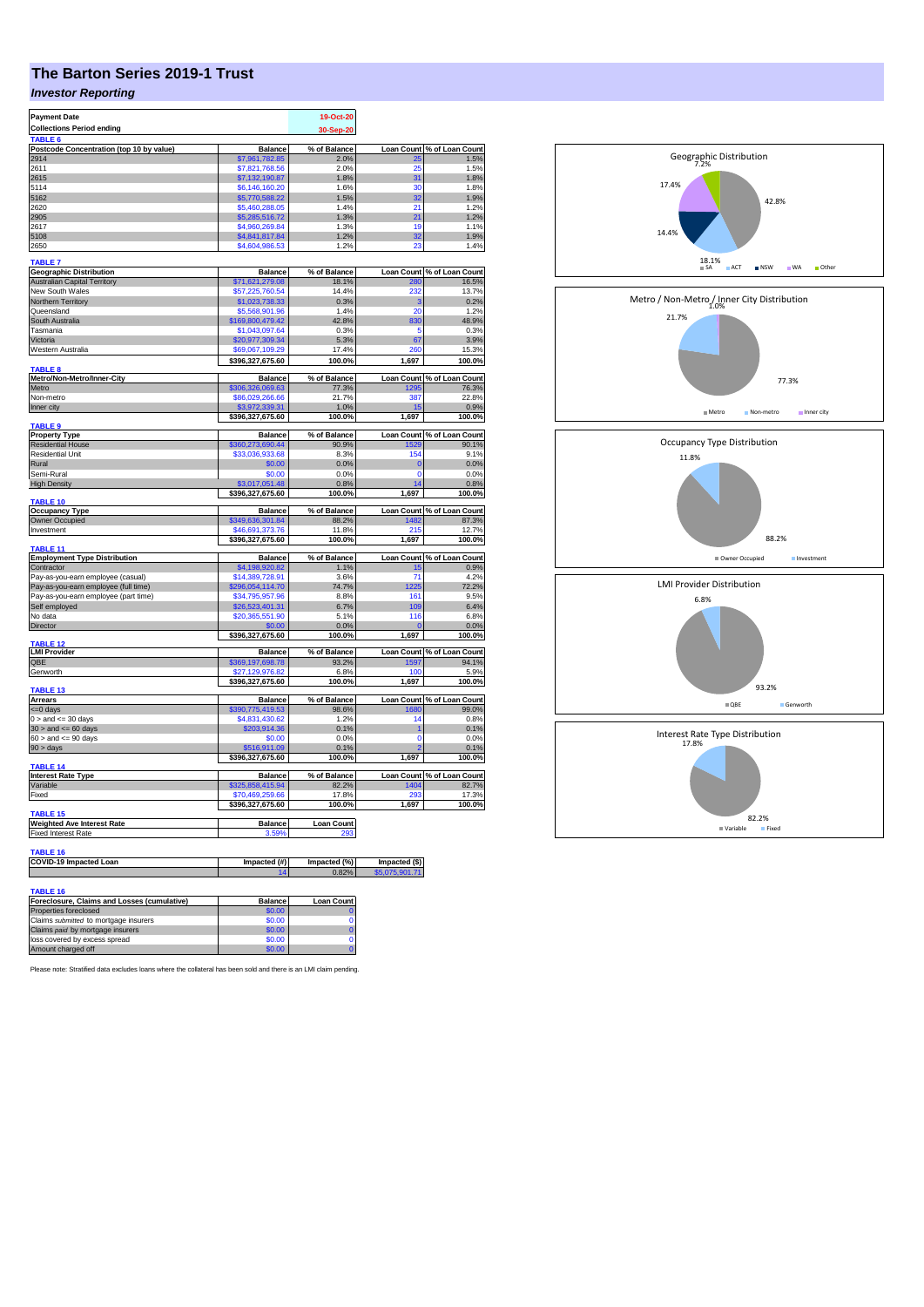## **The Barton Series 2019-1 Trust**

## *Investor Reporting*

| <b>Payment Date</b>                                             |                                   | 19-Oct-20         |                     |                            |
|-----------------------------------------------------------------|-----------------------------------|-------------------|---------------------|----------------------------|
| <b>Collections Period ending</b>                                |                                   | 30-Sep-20         |                     |                            |
| TABLE <sub>6</sub><br>Postcode Concentration (top 10 by value)  | Balance                           | % of Balance      |                     | Loan Count % of Loan Count |
| 2914                                                            | \$7,961,782.85                    | 2.0%              |                     | 1.5%                       |
| 2611                                                            | \$7.821.768.56                    | 2.0%              | 25                  | 1.5%                       |
| 2615                                                            | \$7,132,190.87                    | 1.8%              | 31                  | 1.8%                       |
| 5114                                                            | \$6,146,160.20                    | 1.6%              | 30                  | 1.8%                       |
| 5162                                                            | \$5,770,588.22                    | 1.5%              | 32                  | 1.9%                       |
| 2620                                                            | \$5,460,288.05                    | 1.4%              | 21                  | 1.2%                       |
| 2905                                                            | \$5,285,516.72                    | 1.3%              | 21                  | 1.2%                       |
| 2617                                                            | \$4,960,269.84                    | 1.3%              | 19                  | 1.1%                       |
| 5108                                                            | \$4,841,817.84                    | 1.2%              | 32                  | 1.9%                       |
| 2650                                                            | \$4,604,986.                      | 1.2%              | 23                  | 1.4%                       |
| TABLE 7                                                         |                                   |                   |                     |                            |
| <b>Geographic Distribution</b>                                  | <b>Balance</b>                    | % of Balance      |                     | Loan Count % of Loan Count |
| <b>Australian Capital Territory</b>                             | \$71,621,279.08                   | 18.1%             | 280                 | 16.5%                      |
| New South Wales                                                 | \$57,225,760.54                   | 14.4%             | 232                 | 13.7%                      |
| <b>Northern Territory</b>                                       | \$1,023,738.33                    | 0.3%              | 3                   | 0.2%                       |
| Queensland                                                      | \$5,568,901.96                    | 1.4%              | 20                  | 1.2%                       |
| South Australia                                                 | \$169,800,479.42                  | 42.8%             | 830                 | 48.9%                      |
| Tasmania                                                        | \$1,043,097.64                    | 0.3%              | 5                   | 0.3%                       |
| Victoria                                                        | \$20,977,309.34                   | 5.3%              | 67                  | 3.9%                       |
| Western Australia                                               | \$69,067,109.29                   | 17.4%             | 260                 | 15.3%                      |
| <b>TABLE 8</b>                                                  | \$396,327,675.60                  | 100.0%            | 1,697               | 100.0%                     |
| Metro/Non-Metro/Inner-City                                      | <b>Balance</b>                    | % of Balance      |                     | Loan Count % of Loan Count |
| Metro                                                           | \$306,326,069.63                  | 77.3%             | 1295                | 76.3%                      |
| Non-metro                                                       | \$86,029,266.66                   | 21.7%             | 387                 | 22.8%                      |
| Inner city                                                      | 13.972                            | 1.0%              |                     | 0.9%                       |
|                                                                 | \$396,327,675.60                  | 100.0%            | 1,697               | 100.0%                     |
| TABLE 9                                                         |                                   |                   |                     |                            |
| <b>Property Type</b>                                            | <b>Balance</b>                    | % of Balance      | <b>Loan Count</b>   | % of Loan Count            |
| <b>Residential House</b>                                        | \$360,273,690.44                  | 90.9%             | 1529                | 90.1%                      |
| <b>Residential Unit</b>                                         | \$33,036,933.68                   | 8.3%              | 154                 | 9.1%                       |
| Rural                                                           | \$0.00                            | 0.0%              | $\Omega$            | 0.0%                       |
| Semi-Rural                                                      | \$0.00<br>\$3,017,051,48          | 0.0%              | $\overline{0}$<br>Z | 0.0%                       |
| <b>High Density</b>                                             | \$396,327,675.60                  | 0.8%<br>100.0%    | 1,697               | 0.8%<br>100.0%             |
| TABLE 10                                                        |                                   |                   |                     |                            |
| <b>Occupancy Type</b>                                           | <b>Balance</b>                    | % of Balance      |                     | Loan Count % of Loan Count |
| Owner Occupied                                                  | \$349,636,301.84                  | 88.2%             | 1482                | 87.3%                      |
| Investment                                                      | \$46,691,373.76                   | 11.8%             | 215                 | 12.7%                      |
|                                                                 | \$396,327,675.60                  | 100.0%            | 1,697               | 100.0%                     |
| TABLE 11                                                        |                                   |                   |                     |                            |
| <b>Employment Type Distribution</b>                             | <b>Balance</b>                    | % of Balance      |                     | Loan Count % of Loan Count |
| Contractor<br>Pay-as-you-earn employee (casual)                 | \$4,198,920.82<br>\$14,389,728.91 | 1.1%<br>3.6%      | 15<br>71            | 0.9%<br>4.2%               |
| Pay-as-you-earn employee (full time)                            | \$296,054,114.70                  | <b>74.7%</b>      | 1225                | 72.2%                      |
| Pay-as-you-earn employee (part time)                            | \$34,795,957.96                   | 8.8%              | 161                 | 9.5%                       |
| Self employed                                                   | \$26,523,401.31                   | 6.7%              | 109                 | 6.4%                       |
| No data                                                         | \$20,365,551.90                   | 5.1%              | 116                 | 6.8%                       |
| Director                                                        |                                   | 0.0%              |                     | 0.0%                       |
|                                                                 | \$396,327,675.60                  | 100.0%            | 1,697               | 100.0%                     |
| ABLE <sub>12</sub>                                              |                                   |                   |                     |                            |
| LMI Provider                                                    | <b>Balance</b>                    | % of Balance      |                     | Loan Count % of Loan Count |
| QBE                                                             | \$369,197,698.78                  | 93.2%             | 1597                | 94.1%                      |
| Genworth                                                        | \$27,129,976.82                   | 6.8%              | 100                 | 5.9%                       |
| TABLE 13                                                        | \$396,327,675.60                  | 100.0%            | 1,697               | 100.0%                     |
| Arrears                                                         | <b>Balance</b>                    | % of Balance      |                     | Loan Count % of Loan Count |
| <= 0 days                                                       | \$390,775,419.53                  | 98.6%             | 1680                | 99.0%                      |
| $0 >$ and $\leq 30$ days                                        | \$4,831,430.62                    | 1.2%              | 14                  | 0.8%                       |
| $30 >$ and $\leq 60$ days                                       | \$203,914.36                      | 0.1%              | 1                   | 0.1%                       |
| $60 >$ and $\lt = 90$ days                                      | \$0.00                            | 0.0%              | $\mathbf 0$         | 0.0%                       |
| $90 > \text{days}$                                              | \$516,911.09                      | 0.1%              |                     | 0.1%                       |
|                                                                 | \$396,327,675.60                  | 100.0%            | 1,697               | 100.0%                     |
| TABLE <sub>14</sub>                                             |                                   |                   |                     |                            |
| <b>Interest Rate Type</b>                                       | <b>Balance</b>                    | % of Balance      |                     | Loan Count % of Loan Count |
| Variable                                                        | \$325,858,415.94                  | 82.2%             | 1404                | 82.7%                      |
| Fixed                                                           | \$70,469,259.66                   | 17.8%             | 293                 | 17.3%                      |
| TABLE 15                                                        | \$396,327,675.60                  | 100.0%            | 1,697               | 100.0%                     |
|                                                                 |                                   |                   |                     |                            |
| <b>Weighted Ave Interest Rate</b><br><b>Fixed Interest Rate</b> | <b>Balance</b>                    | <b>Loan Count</b> |                     |                            |
|                                                                 |                                   |                   |                     |                            |
| TABLE 16                                                        |                                   |                   |                     |                            |
| COVID-19 Impacted Loan                                          | Impacted (#)                      | Impacted (%)      | Impacted (\$)       |                            |
|                                                                 | 14                                | 0.82%             | \$5,075,901.71      |                            |
|                                                                 |                                   |                   |                     |                            |
| TABLE 16                                                        |                                   |                   |                     |                            |
| Foreclosure, Claims and Losses (cumulative)                     | <b>Balance</b>                    | <b>Loan Count</b> |                     |                            |
| Properties foreclosed                                           | \$0.00                            | $\Omega$          |                     |                            |
|                                                                 |                                   |                   |                     |                            |

| Properties foreclosed                 | \$0.00 |    |
|---------------------------------------|--------|----|
| Claims submitted to mortgage insurers | \$0.00 | ОΙ |
| Claims paid by mortgage insurers      | \$0.00 |    |
| loss covered by excess spread         | \$0.00 | ΩI |
| Amount charged off                    | \$0.00 |    |

Please note: Stratified data excludes loans where the collateral has been sold and there is an LMI claim pending.